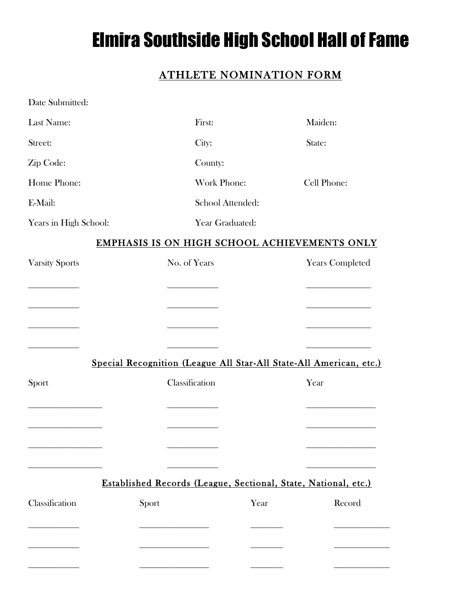## Elmira Southside High School Hall of Fame

## ATHLETE NOMINATION FORM

| Date Submitted:       |                                                                    |                        |
|-----------------------|--------------------------------------------------------------------|------------------------|
| Last Name:            | First:                                                             | Maiden:                |
| Street:               | City:                                                              | State:                 |
| Zip Code:             | County:                                                            |                        |
| Home Phone:           | Work Phone:                                                        | Cell Phone:            |
| E-Mail:               | School Attended:                                                   |                        |
| Years in High School: | Year Graduated:                                                    |                        |
|                       | EMPHASIS IS ON HIGH SCHOOL ACHIEVEMENTS ONLY                       |                        |
| <b>Varsity Sports</b> | No. of Years                                                       | <b>Years Completed</b> |
|                       |                                                                    |                        |
|                       |                                                                    |                        |
|                       |                                                                    |                        |
|                       |                                                                    |                        |
|                       | Special Recognition (League All Star-All State-All American, etc.) |                        |
| Sport                 | Classification                                                     | Year                   |
|                       |                                                                    |                        |
|                       |                                                                    |                        |
|                       |                                                                    |                        |
|                       |                                                                    |                        |
|                       | Established Records (League, Sectional, State, National, etc.)     |                        |
| Classification        | Year<br>Sport                                                      | Record                 |
|                       |                                                                    |                        |
|                       |                                                                    |                        |
|                       |                                                                    |                        |
|                       |                                                                    |                        |